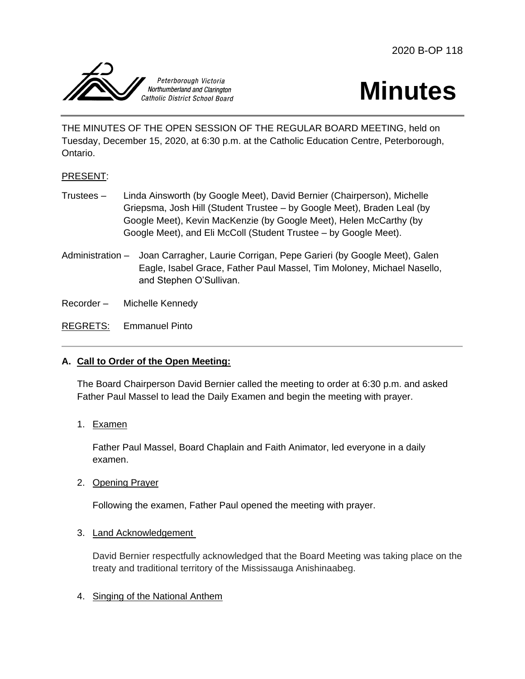2020 B-OP 118





THE MINUTES OF THE OPEN SESSION OF THE REGULAR BOARD MEETING, held on Tuesday, December 15, 2020, at 6:30 p.m. at the Catholic Education Centre, Peterborough, Ontario.

# PRESENT:

- Trustees Linda Ainsworth (by Google Meet), David Bernier (Chairperson), Michelle Griepsma, Josh Hill (Student Trustee – by Google Meet), Braden Leal (by Google Meet), Kevin MacKenzie (by Google Meet), Helen McCarthy (by Google Meet), and Eli McColl (Student Trustee – by Google Meet).
- Administration Joan Carragher, Laurie Corrigan, Pepe Garieri (by Google Meet), Galen Eagle, Isabel Grace, Father Paul Massel, Tim Moloney, Michael Nasello, and Stephen O'Sullivan.

Recorder – Michelle Kennedy

REGRETS: Emmanuel Pinto

# **A. Call to Order of the Open Meeting:**

The Board Chairperson David Bernier called the meeting to order at 6:30 p.m. and asked Father Paul Massel to lead the Daily Examen and begin the meeting with prayer.

1. Examen

Father Paul Massel, Board Chaplain and Faith Animator, led everyone in a daily examen.

2. Opening Prayer

Following the examen, Father Paul opened the meeting with prayer.

3. Land Acknowledgement

David Bernier respectfully acknowledged that the Board Meeting was taking place on the treaty and traditional territory of the Mississauga Anishinaabeg.

4. Singing of the National Anthem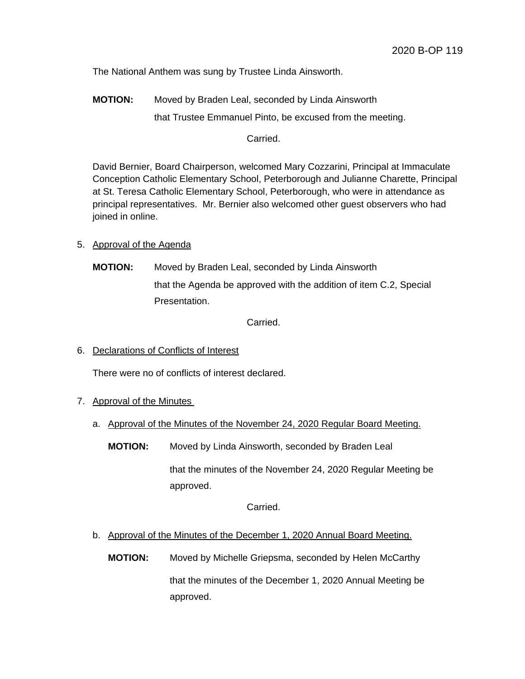The National Anthem was sung by Trustee Linda Ainsworth.

**MOTION:** Moved by Braden Leal, seconded by Linda Ainsworth that Trustee Emmanuel Pinto, be excused from the meeting.

Carried.

David Bernier, Board Chairperson, welcomed Mary Cozzarini, Principal at Immaculate Conception Catholic Elementary School, Peterborough and Julianne Charette, Principal at St. Teresa Catholic Elementary School, Peterborough, who were in attendance as principal representatives. Mr. Bernier also welcomed other guest observers who had joined in online.

- 5. Approval of the Agenda
	- **MOTION:** Moved by Braden Leal, seconded by Linda Ainsworth that the Agenda be approved with the addition of item C.2, Special Presentation.

Carried.

6. Declarations of Conflicts of Interest

There were no of conflicts of interest declared.

- 7. Approval of the Minutes
	- a. Approval of the Minutes of the November 24, 2020 Regular Board Meeting.
		- **MOTION:** Moved by Linda Ainsworth, seconded by Braden Leal

that the minutes of the November 24, 2020 Regular Meeting be approved.

Carried.

b. Approval of the Minutes of the December 1, 2020 Annual Board Meeting.

**MOTION:** Moved by Michelle Griepsma, seconded by Helen McCarthy

that the minutes of the December 1, 2020 Annual Meeting be approved.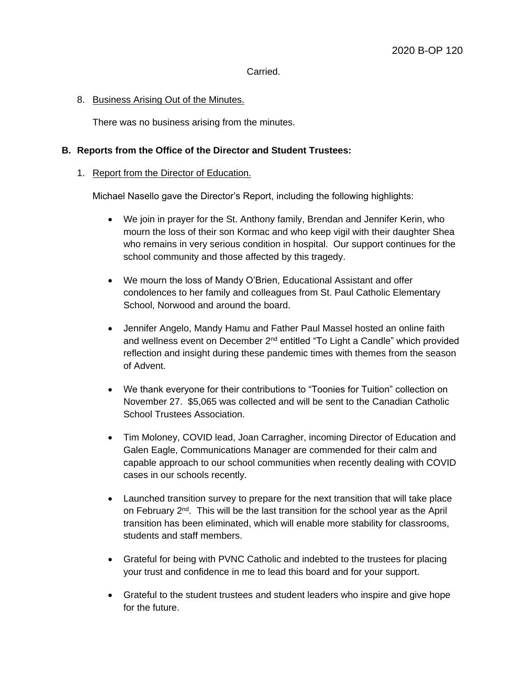#### Carried.

### 8. Business Arising Out of the Minutes.

There was no business arising from the minutes.

## **B. Reports from the Office of the Director and Student Trustees:**

### 1. Report from the Director of Education.

Michael Nasello gave the Director's Report, including the following highlights:

- We join in prayer for the St. Anthony family, Brendan and Jennifer Kerin, who mourn the loss of their son Kormac and who keep vigil with their daughter Shea who remains in very serious condition in hospital. Our support continues for the school community and those affected by this tragedy.
- We mourn the loss of Mandy O'Brien, Educational Assistant and offer condolences to her family and colleagues from St. Paul Catholic Elementary School, Norwood and around the board.
- Jennifer Angelo, Mandy Hamu and Father Paul Massel hosted an online faith and wellness event on December  $2<sup>nd</sup>$  entitled "To Light a Candle" which provided reflection and insight during these pandemic times with themes from the season of Advent.
- We thank everyone for their contributions to "Toonies for Tuition" collection on November 27. \$5,065 was collected and will be sent to the Canadian Catholic School Trustees Association.
- Tim Moloney, COVID lead, Joan Carragher, incoming Director of Education and Galen Eagle, Communications Manager are commended for their calm and capable approach to our school communities when recently dealing with COVID cases in our schools recently.
- Launched transition survey to prepare for the next transition that will take place on February 2<sup>nd</sup>. This will be the last transition for the school year as the April transition has been eliminated, which will enable more stability for classrooms, students and staff members.
- Grateful for being with PVNC Catholic and indebted to the trustees for placing your trust and confidence in me to lead this board and for your support.
- Grateful to the student trustees and student leaders who inspire and give hope for the future.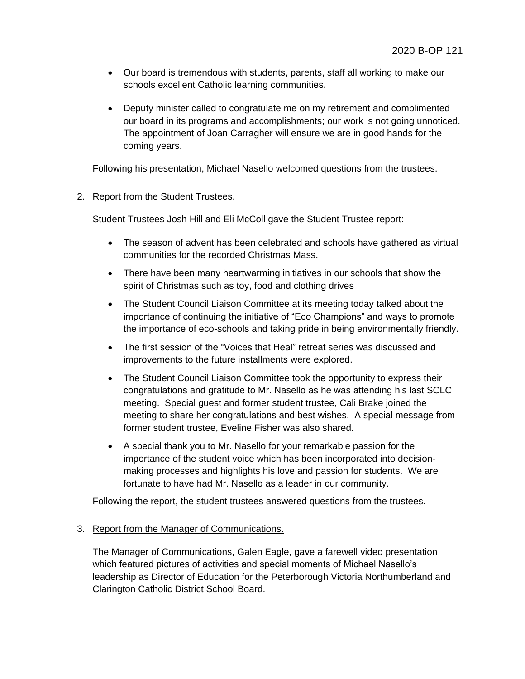- Our board is tremendous with students, parents, staff all working to make our schools excellent Catholic learning communities.
- Deputy minister called to congratulate me on my retirement and complimented our board in its programs and accomplishments; our work is not going unnoticed. The appointment of Joan Carragher will ensure we are in good hands for the coming years.

Following his presentation, Michael Nasello welcomed questions from the trustees.

## 2. Report from the Student Trustees.

Student Trustees Josh Hill and Eli McColl gave the Student Trustee report:

- The season of advent has been celebrated and schools have gathered as virtual communities for the recorded Christmas Mass.
- There have been many heartwarming initiatives in our schools that show the spirit of Christmas such as toy, food and clothing drives
- The Student Council Liaison Committee at its meeting today talked about the importance of continuing the initiative of "Eco Champions" and ways to promote the importance of eco-schools and taking pride in being environmentally friendly.
- The first session of the "Voices that Heal" retreat series was discussed and improvements to the future installments were explored.
- The Student Council Liaison Committee took the opportunity to express their congratulations and gratitude to Mr. Nasello as he was attending his last SCLC meeting. Special guest and former student trustee, Cali Brake joined the meeting to share her congratulations and best wishes. A special message from former student trustee, Eveline Fisher was also shared.
- A special thank you to Mr. Nasello for your remarkable passion for the importance of the student voice which has been incorporated into decisionmaking processes and highlights his love and passion for students. We are fortunate to have had Mr. Nasello as a leader in our community.

Following the report, the student trustees answered questions from the trustees.

### 3. Report from the Manager of Communications.

The Manager of Communications, Galen Eagle, gave a farewell video presentation which featured pictures of activities and special moments of Michael Nasello's leadership as Director of Education for the Peterborough Victoria Northumberland and Clarington Catholic District School Board.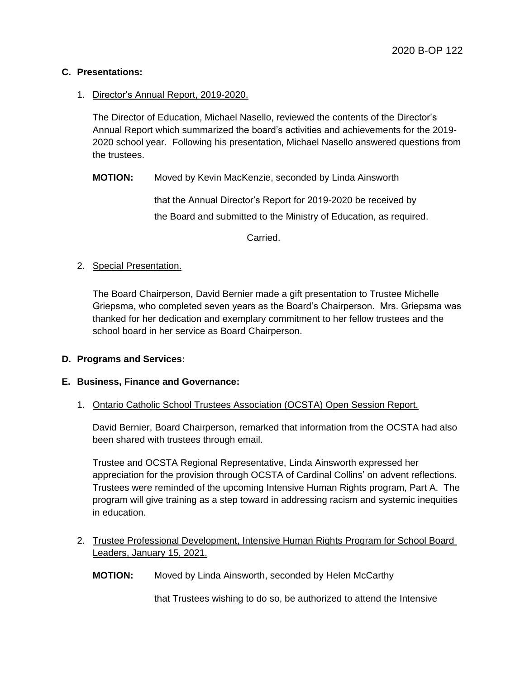## **C. Presentations:**

## 1. Director's Annual Report, 2019-2020.

The Director of Education, Michael Nasello, reviewed the contents of the Director's Annual Report which summarized the board's activities and achievements for the 2019- 2020 school year. Following his presentation, Michael Nasello answered questions from the trustees.

**MOTION:** Moved by Kevin MacKenzie, seconded by Linda Ainsworth

that the Annual Director's Report for 2019-2020 be received by the Board and submitted to the Ministry of Education, as required.

Carried.

## 2. Special Presentation.

The Board Chairperson, David Bernier made a gift presentation to Trustee Michelle Griepsma, who completed seven years as the Board's Chairperson. Mrs. Griepsma was thanked for her dedication and exemplary commitment to her fellow trustees and the school board in her service as Board Chairperson.

### **D. Programs and Services:**

# **E. Business, Finance and Governance:**

### 1. Ontario Catholic School Trustees Association (OCSTA) Open Session Report.

David Bernier, Board Chairperson, remarked that information from the OCSTA had also been shared with trustees through email.

Trustee and OCSTA Regional Representative, Linda Ainsworth expressed her appreciation for the provision through OCSTA of Cardinal Collins' on advent reflections. Trustees were reminded of the upcoming Intensive Human Rights program, Part A. The program will give training as a step toward in addressing racism and systemic inequities in education.

2. Trustee Professional Development, Intensive Human Rights Program for School Board Leaders, January 15, 2021.

**MOTION:** Moved by Linda Ainsworth, seconded by Helen McCarthy

that Trustees wishing to do so, be authorized to attend the Intensive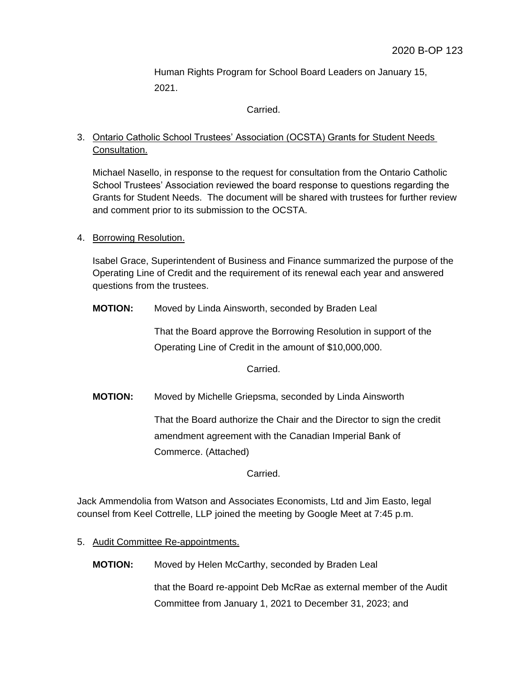Human Rights Program for School Board Leaders on January 15, 2021.

Carried.

# 3. Ontario Catholic School Trustees' Association (OCSTA) Grants for Student Needs Consultation.

Michael Nasello, in response to the request for consultation from the Ontario Catholic School Trustees' Association reviewed the board response to questions regarding the Grants for Student Needs. The document will be shared with trustees for further review and comment prior to its submission to the OCSTA.

4. Borrowing Resolution.

Isabel Grace, Superintendent of Business and Finance summarized the purpose of the Operating Line of Credit and the requirement of its renewal each year and answered questions from the trustees.

**MOTION:** Moved by Linda Ainsworth, seconded by Braden Leal

That the Board approve the Borrowing Resolution in support of the Operating Line of Credit in the amount of \$10,000,000.

Carried.

**MOTION:** Moved by Michelle Griepsma, seconded by Linda Ainsworth

That the Board authorize the Chair and the Director to sign the credit amendment agreement with the Canadian Imperial Bank of Commerce. (Attached)

Carried.

Jack Ammendolia from Watson and Associates Economists, Ltd and Jim Easto, legal counsel from Keel Cottrelle, LLP joined the meeting by Google Meet at 7:45 p.m.

5. Audit Committee Re-appointments.

**MOTION:** Moved by Helen McCarthy, seconded by Braden Leal

that the Board re-appoint Deb McRae as external member of the Audit Committee from January 1, 2021 to December 31, 2023; and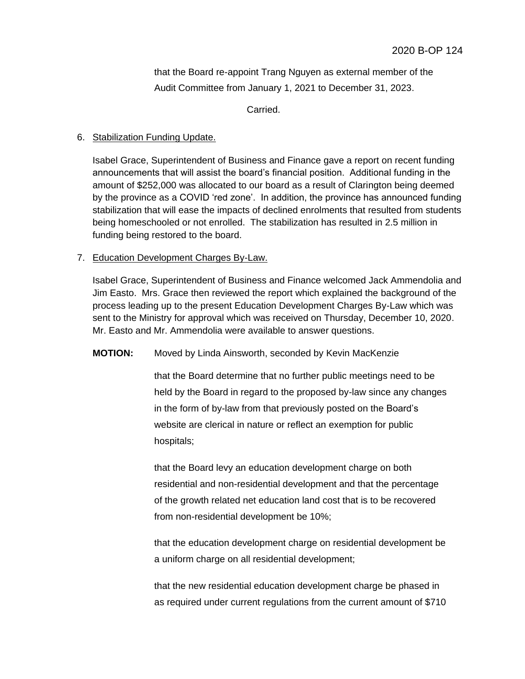that the Board re-appoint Trang Nguyen as external member of the Audit Committee from January 1, 2021 to December 31, 2023.

Carried.

## 6. Stabilization Funding Update.

Isabel Grace, Superintendent of Business and Finance gave a report on recent funding announcements that will assist the board's financial position. Additional funding in the amount of \$252,000 was allocated to our board as a result of Clarington being deemed by the province as a COVID 'red zone'. In addition, the province has announced funding stabilization that will ease the impacts of declined enrolments that resulted from students being homeschooled or not enrolled. The stabilization has resulted in 2.5 million in funding being restored to the board.

# 7. Education Development Charges By-Law.

Isabel Grace, Superintendent of Business and Finance welcomed Jack Ammendolia and Jim Easto. Mrs. Grace then reviewed the report which explained the background of the process leading up to the present Education Development Charges By-Law which was sent to the Ministry for approval which was received on Thursday, December 10, 2020. Mr. Easto and Mr. Ammendolia were available to answer questions.

# **MOTION:** Moved by Linda Ainsworth, seconded by Kevin MacKenzie

that the Board determine that no further public meetings need to be held by the Board in regard to the proposed by-law since any changes in the form of by-law from that previously posted on the Board's website are clerical in nature or reflect an exemption for public hospitals;

that the Board levy an education development charge on both residential and non-residential development and that the percentage of the growth related net education land cost that is to be recovered from non-residential development be 10%;

that the education development charge on residential development be a uniform charge on all residential development;

that the new residential education development charge be phased in as required under current regulations from the current amount of \$710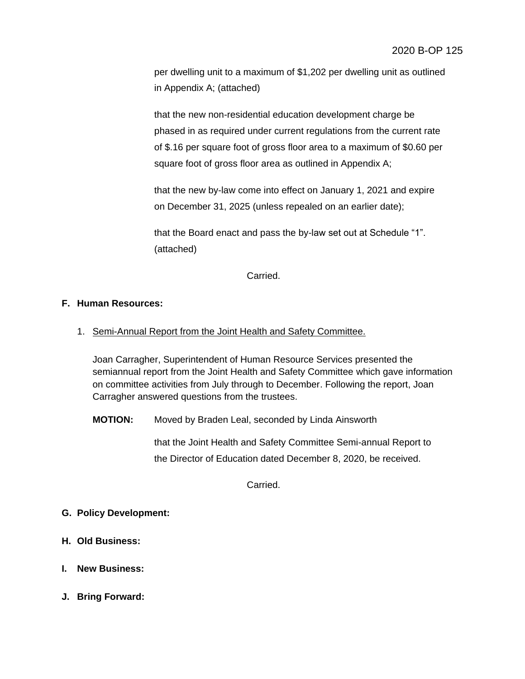per dwelling unit to a maximum of \$1,202 per dwelling unit as outlined in Appendix A; (attached)

that the new non-residential education development charge be phased in as required under current regulations from the current rate of \$.16 per square foot of gross floor area to a maximum of \$0.60 per square foot of gross floor area as outlined in Appendix A;

that the new by-law come into effect on January 1, 2021 and expire on December 31, 2025 (unless repealed on an earlier date);

that the Board enact and pass the by-law set out at Schedule "1". (attached)

Carried.

# **F. Human Resources:**

1. Semi-Annual Report from the Joint Health and Safety Committee.

Joan Carragher, Superintendent of Human Resource Services presented the semiannual report from the Joint Health and Safety Committee which gave information on committee activities from July through to December. Following the report, Joan Carragher answered questions from the trustees.

**MOTION:** Moved by Braden Leal, seconded by Linda Ainsworth

that the Joint Health and Safety Committee Semi-annual Report to the Director of Education dated December 8, 2020, be received.

Carried.

# **G. Policy Development:**

- **H. Old Business:**
- **I. New Business:**
- **J. Bring Forward:**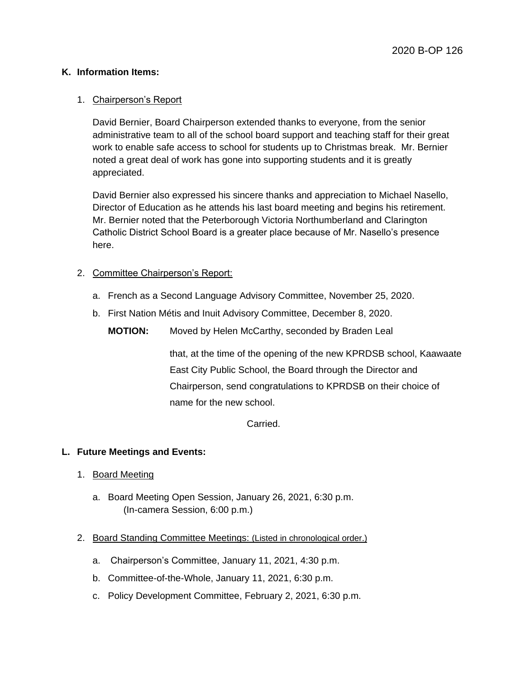## **K. Information Items:**

## 1. Chairperson's Report

David Bernier, Board Chairperson extended thanks to everyone, from the senior administrative team to all of the school board support and teaching staff for their great work to enable safe access to school for students up to Christmas break. Mr. Bernier noted a great deal of work has gone into supporting students and it is greatly appreciated.

David Bernier also expressed his sincere thanks and appreciation to Michael Nasello, Director of Education as he attends his last board meeting and begins his retirement. Mr. Bernier noted that the Peterborough Victoria Northumberland and Clarington Catholic District School Board is a greater place because of Mr. Nasello's presence here.

## 2. Committee Chairperson's Report:

- a. French as a Second Language Advisory Committee, November 25, 2020.
- b. First Nation Métis and Inuit Advisory Committee, December 8, 2020.

**MOTION:** Moved by Helen McCarthy, seconded by Braden Leal

that, at the time of the opening of the new KPRDSB school, Kaawaate East City Public School, the Board through the Director and Chairperson, send congratulations to KPRDSB on their choice of name for the new school.

Carried.

### **L. Future Meetings and Events:**

- 1. Board Meeting
	- a. Board Meeting Open Session, January 26, 2021, 6:30 p.m. (In-camera Session, 6:00 p.m.)
- 2. Board Standing Committee Meetings: (Listed in chronological order.)
	- a. Chairperson's Committee, January 11, 2021, 4:30 p.m.
	- b. Committee-of-the-Whole, January 11, 2021, 6:30 p.m.
	- c. Policy Development Committee, February 2, 2021, 6:30 p.m.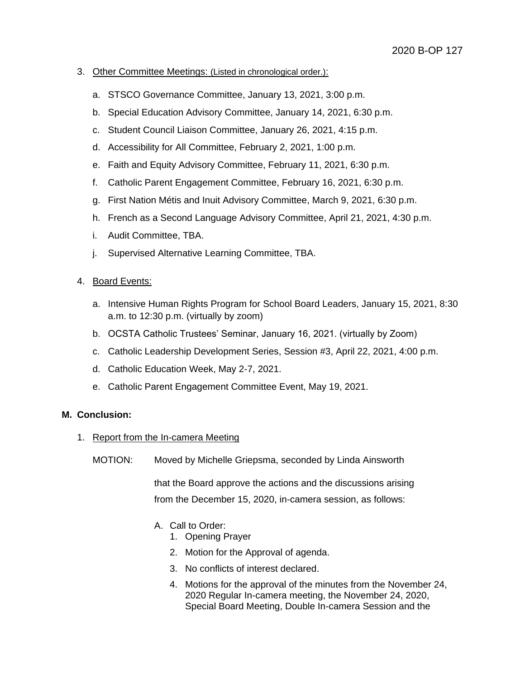### 3. Other Committee Meetings: (Listed in chronological order.):

- a. STSCO Governance Committee, January 13, 2021, 3:00 p.m.
- b. Special Education Advisory Committee, January 14, 2021, 6:30 p.m.
- c. Student Council Liaison Committee, January 26, 2021, 4:15 p.m.
- d. Accessibility for All Committee, February 2, 2021, 1:00 p.m.
- e. Faith and Equity Advisory Committee, February 11, 2021, 6:30 p.m.
- f. Catholic Parent Engagement Committee, February 16, 2021, 6:30 p.m.
- g. First Nation Métis and Inuit Advisory Committee, March 9, 2021, 6:30 p.m.
- h. French as a Second Language Advisory Committee, April 21, 2021, 4:30 p.m.
- i. Audit Committee, TBA.
- j. Supervised Alternative Learning Committee, TBA.

### 4. Board Events:

- a. Intensive Human Rights Program for School Board Leaders, January 15, 2021, 8:30 a.m. to 12:30 p.m. (virtually by zoom)
- b. OCSTA Catholic Trustees' Seminar, January 16, 2021. (virtually by Zoom)
- c. Catholic Leadership Development Series, Session #3, April 22, 2021, 4:00 p.m.
- d. Catholic Education Week, May 2-7, 2021.
- e. Catholic Parent Engagement Committee Event, May 19, 2021.

### **M. Conclusion:**

- 1. Report from the In-camera Meeting
	- MOTION: Moved by Michelle Griepsma, seconded by Linda Ainsworth

that the Board approve the actions and the discussions arising from the December 15, 2020, in-camera session, as follows:

# A. Call to Order:

- 1. Opening Prayer
- 2. Motion for the Approval of agenda.
- 3. No conflicts of interest declared.
- 4. Motions for the approval of the minutes from the November 24, 2020 Regular In-camera meeting, the November 24, 2020, Special Board Meeting, Double In-camera Session and the